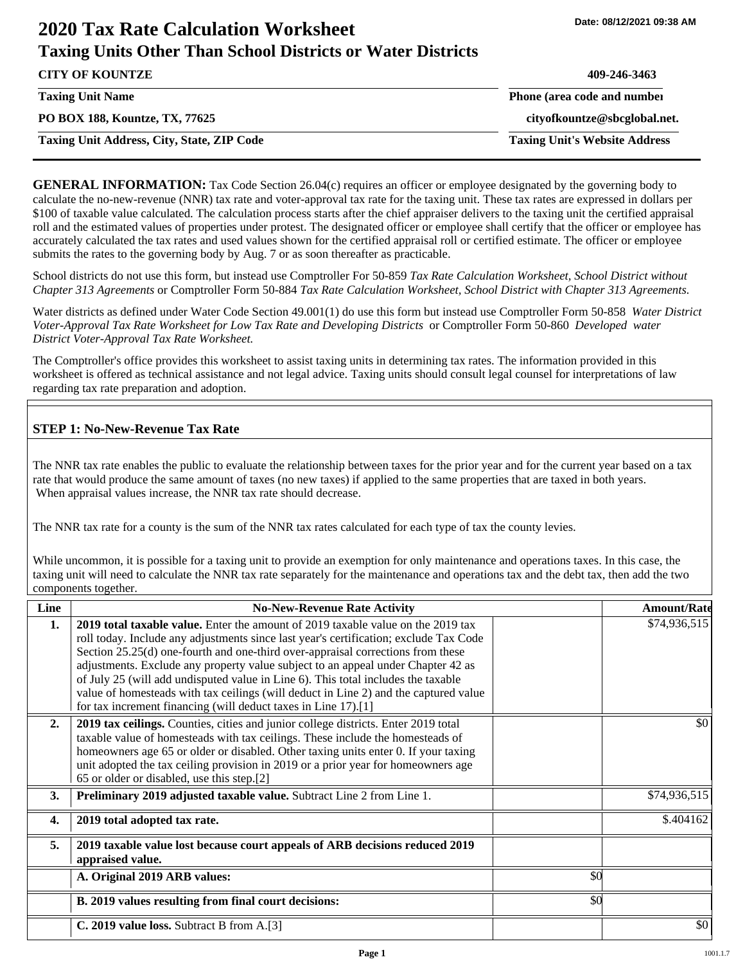# **2020 Tax Rate Calculation Worksheet Taxing Units Other Than School Districts or Water Districts**

| <b>CITY OF KOUNTZE</b>                            | 409-246-3463                         |
|---------------------------------------------------|--------------------------------------|
| <b>Taxing Unit Name</b>                           | Phone (area code and number          |
| PO BOX 188, Kountze, TX, 77625                    | cityofkountze@sbcglobal.net.         |
| <b>Taxing Unit Address, City, State, ZIP Code</b> | <b>Taxing Unit's Website Address</b> |

**GENERAL INFORMATION:** Tax Code Section 26.04(c) requires an officer or employee designated by the governing body to calculate the no-new-revenue (NNR) tax rate and voter-approval tax rate for the taxing unit. These tax rates are expressed in dollars per \$100 of taxable value calculated. The calculation process starts after the chief appraiser delivers to the taxing unit the certified appraisal roll and the estimated values of properties under protest. The designated officer or employee shall certify that the officer or employee has accurately calculated the tax rates and used values shown for the certified appraisal roll or certified estimate. The officer or employee submits the rates to the governing body by Aug. 7 or as soon thereafter as practicable.

School districts do not use this form, but instead use Comptroller For 50-859 *Tax Rate Calculation Worksheet, School District without Chapter 313 Agreements* or Comptroller Form 50-884 *Tax Rate Calculation Worksheet, School District with Chapter 313 Agreements.*

Water districts as defined under Water Code Section 49.001(1) do use this form but instead use Comptroller Form 50-858 *Water District Voter-Approval Tax Rate Worksheet for Low Tax Rate and Developing Districts* or Comptroller Form 50-860 *Developed water District Voter-Approval Tax Rate Worksheet.*

The Comptroller's office provides this worksheet to assist taxing units in determining tax rates. The information provided in this worksheet is offered as technical assistance and not legal advice. Taxing units should consult legal counsel for interpretations of law regarding tax rate preparation and adoption.

## **STEP 1: No-New-Revenue Tax Rate**

The NNR tax rate enables the public to evaluate the relationship between taxes for the prior year and for the current year based on a tax rate that would produce the same amount of taxes (no new taxes) if applied to the same properties that are taxed in both years. When appraisal values increase, the NNR tax rate should decrease.

The NNR tax rate for a county is the sum of the NNR tax rates calculated for each type of tax the county levies.

While uncommon, it is possible for a taxing unit to provide an exemption for only maintenance and operations taxes. In this case, the taxing unit will need to calculate the NNR tax rate separately for the maintenance and operations tax and the debt tax, then add the two components together.

| Line             | <b>No-New-Revenue Rate Activity</b>                                                                                                                                                                                                                                                                                                                                                                                                                                                                                                                                                             |     | <b>Amount/Rate</b> |
|------------------|-------------------------------------------------------------------------------------------------------------------------------------------------------------------------------------------------------------------------------------------------------------------------------------------------------------------------------------------------------------------------------------------------------------------------------------------------------------------------------------------------------------------------------------------------------------------------------------------------|-----|--------------------|
| 1.               | 2019 total taxable value. Enter the amount of 2019 taxable value on the 2019 tax<br>roll today. Include any adjustments since last year's certification; exclude Tax Code<br>Section 25.25(d) one-fourth and one-third over-appraisal corrections from these<br>adjustments. Exclude any property value subject to an appeal under Chapter 42 as<br>of July 25 (will add undisputed value in Line 6). This total includes the taxable<br>value of homesteads with tax ceilings (will deduct in Line 2) and the captured value<br>for tax increment financing (will deduct taxes in Line 17).[1] |     | \$74,936,515       |
| 2.               | 2019 tax ceilings. Counties, cities and junior college districts. Enter 2019 total<br>taxable value of homesteads with tax ceilings. These include the homesteads of<br>homeowners age 65 or older or disabled. Other taxing units enter 0. If your taxing<br>unit adopted the tax ceiling provision in 2019 or a prior year for homeowners age<br>65 or older or disabled, use this step.[2]                                                                                                                                                                                                   |     | \$0                |
| 3.               | Preliminary 2019 adjusted taxable value. Subtract Line 2 from Line 1.                                                                                                                                                                                                                                                                                                                                                                                                                                                                                                                           |     | \$74,936,515       |
| $\overline{4}$ . | 2019 total adopted tax rate.                                                                                                                                                                                                                                                                                                                                                                                                                                                                                                                                                                    |     | \$.404162          |
| 5.               | 2019 taxable value lost because court appeals of ARB decisions reduced 2019<br>appraised value.                                                                                                                                                                                                                                                                                                                                                                                                                                                                                                 |     |                    |
|                  | A. Original 2019 ARB values:                                                                                                                                                                                                                                                                                                                                                                                                                                                                                                                                                                    | \$0 |                    |
|                  | B. 2019 values resulting from final court decisions:                                                                                                                                                                                                                                                                                                                                                                                                                                                                                                                                            | \$0 |                    |
|                  | C. 2019 value loss. Subtract B from A.[3]                                                                                                                                                                                                                                                                                                                                                                                                                                                                                                                                                       |     | \$0                |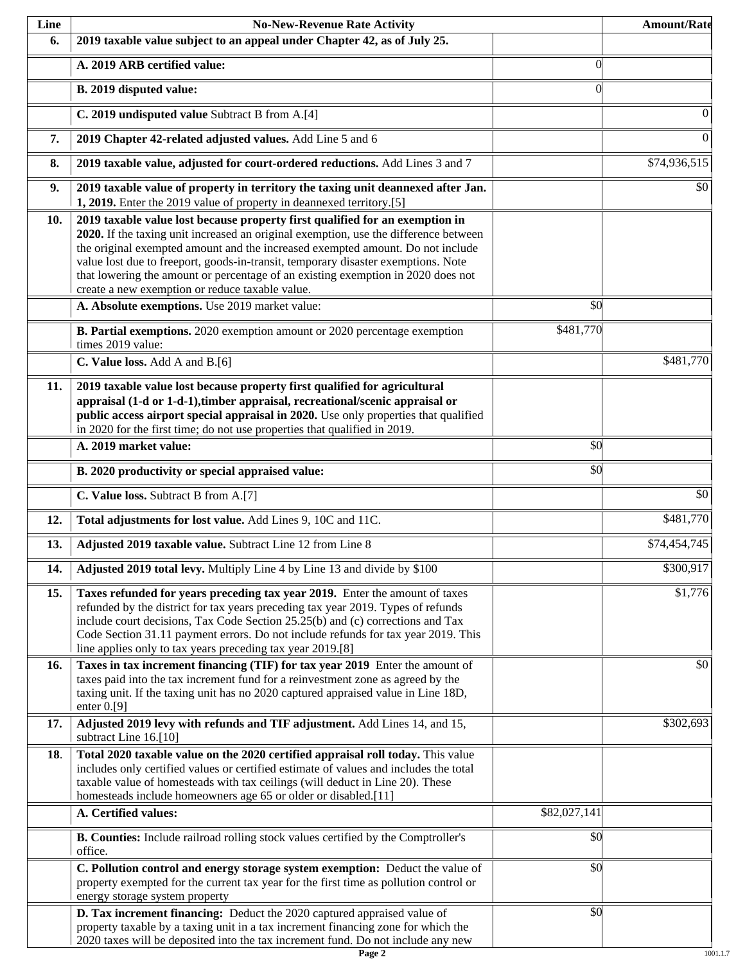| Line | <b>No-New-Revenue Rate Activity</b>                                                                                                                                                                                                                                                                                                                                                                                                                                                |                 | <b>Amount/Rate</b> |
|------|------------------------------------------------------------------------------------------------------------------------------------------------------------------------------------------------------------------------------------------------------------------------------------------------------------------------------------------------------------------------------------------------------------------------------------------------------------------------------------|-----------------|--------------------|
| 6.   | 2019 taxable value subject to an appeal under Chapter 42, as of July 25.                                                                                                                                                                                                                                                                                                                                                                                                           |                 |                    |
|      | A. 2019 ARB certified value:                                                                                                                                                                                                                                                                                                                                                                                                                                                       | $\theta$        |                    |
|      | B. 2019 disputed value:                                                                                                                                                                                                                                                                                                                                                                                                                                                            | $\Omega$        |                    |
|      | C. 2019 undisputed value Subtract B from A.[4]                                                                                                                                                                                                                                                                                                                                                                                                                                     |                 | $\mathbf{0}$       |
| 7.   | 2019 Chapter 42-related adjusted values. Add Line 5 and 6                                                                                                                                                                                                                                                                                                                                                                                                                          |                 | $\overline{0}$     |
| 8.   | 2019 taxable value, adjusted for court-ordered reductions. Add Lines 3 and 7                                                                                                                                                                                                                                                                                                                                                                                                       |                 | \$74,936,515       |
| 9.   | 2019 taxable value of property in territory the taxing unit deannexed after Jan.<br>1, 2019. Enter the 2019 value of property in deannexed territory.[5]                                                                                                                                                                                                                                                                                                                           |                 | \$0                |
| 10.  | 2019 taxable value lost because property first qualified for an exemption in<br>2020. If the taxing unit increased an original exemption, use the difference between<br>the original exempted amount and the increased exempted amount. Do not include<br>value lost due to freeport, goods-in-transit, temporary disaster exemptions. Note<br>that lowering the amount or percentage of an existing exemption in 2020 does not<br>create a new exemption or reduce taxable value. |                 |                    |
|      | A. Absolute exemptions. Use 2019 market value:                                                                                                                                                                                                                                                                                                                                                                                                                                     | $\overline{50}$ |                    |
|      | B. Partial exemptions. 2020 exemption amount or 2020 percentage exemption<br>times 2019 value:                                                                                                                                                                                                                                                                                                                                                                                     | \$481,770       |                    |
|      | C. Value loss. Add A and B.[6]                                                                                                                                                                                                                                                                                                                                                                                                                                                     |                 | \$481,770          |
| 11.  | 2019 taxable value lost because property first qualified for agricultural<br>appraisal (1-d or 1-d-1), timber appraisal, recreational/scenic appraisal or<br>public access airport special appraisal in 2020. Use only properties that qualified<br>in 2020 for the first time; do not use properties that qualified in 2019.                                                                                                                                                      |                 |                    |
|      | A. 2019 market value:                                                                                                                                                                                                                                                                                                                                                                                                                                                              | \$0             |                    |
|      | B. 2020 productivity or special appraised value:                                                                                                                                                                                                                                                                                                                                                                                                                                   | \$0             |                    |
|      | C. Value loss. Subtract B from A.[7]                                                                                                                                                                                                                                                                                                                                                                                                                                               |                 | $\overline{50}$    |
| 12.  | Total adjustments for lost value. Add Lines 9, 10C and 11C.                                                                                                                                                                                                                                                                                                                                                                                                                        |                 | \$481,770          |
| 13.  | Adjusted 2019 taxable value. Subtract Line 12 from Line 8                                                                                                                                                                                                                                                                                                                                                                                                                          |                 | \$74,454,745       |
| 14.  | Adjusted 2019 total levy. Multiply Line 4 by Line 13 and divide by \$100                                                                                                                                                                                                                                                                                                                                                                                                           |                 | \$300,917          |
| 15.  | Taxes refunded for years preceding tax year 2019. Enter the amount of taxes<br>refunded by the district for tax years preceding tax year 2019. Types of refunds<br>include court decisions, Tax Code Section 25.25(b) and (c) corrections and Tax<br>Code Section 31.11 payment errors. Do not include refunds for tax year 2019. This<br>line applies only to tax years preceding tax year 2019.[8]                                                                               |                 | \$1,776            |
| 16.  | Taxes in tax increment financing (TIF) for tax year 2019 Enter the amount of<br>taxes paid into the tax increment fund for a reinvestment zone as agreed by the<br>taxing unit. If the taxing unit has no 2020 captured appraised value in Line 18D,<br>enter $0.9$ ]                                                                                                                                                                                                              |                 | \$0                |
| 17.  | Adjusted 2019 levy with refunds and TIF adjustment. Add Lines 14, and 15,<br>subtract Line 16.[10]                                                                                                                                                                                                                                                                                                                                                                                 |                 | \$302,693          |
| 18.  | Total 2020 taxable value on the 2020 certified appraisal roll today. This value<br>includes only certified values or certified estimate of values and includes the total<br>taxable value of homesteads with tax ceilings (will deduct in Line 20). These<br>homesteads include homeowners age 65 or older or disabled.[11]                                                                                                                                                        |                 |                    |
|      | A. Certified values:                                                                                                                                                                                                                                                                                                                                                                                                                                                               | \$82,027,141    |                    |
|      | B. Counties: Include railroad rolling stock values certified by the Comptroller's<br>office.                                                                                                                                                                                                                                                                                                                                                                                       | \$0             |                    |
|      | C. Pollution control and energy storage system exemption: Deduct the value of<br>property exempted for the current tax year for the first time as pollution control or<br>energy storage system property                                                                                                                                                                                                                                                                           | \$0             |                    |
|      | D. Tax increment financing: Deduct the 2020 captured appraised value of<br>property taxable by a taxing unit in a tax increment financing zone for which the<br>2020 taxes will be deposited into the tax increment fund. Do not include any new                                                                                                                                                                                                                                   | \$0             |                    |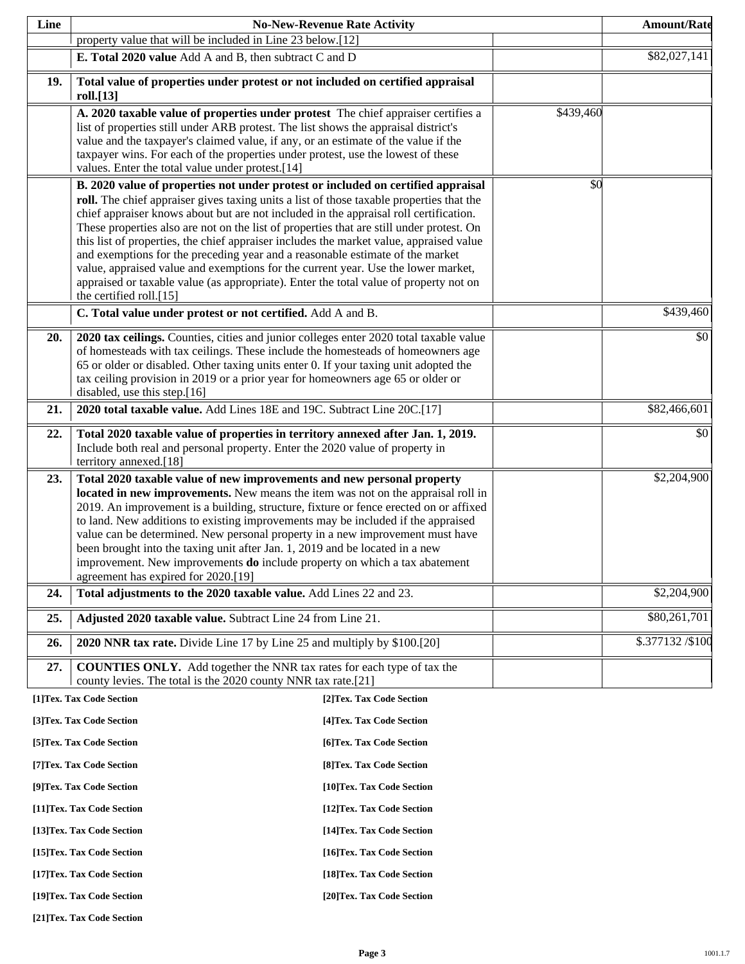| Line       |                                                                                                                                                                                                                                                                                                                                                                                                                                                                                                                                                                                                                                                                                                                                                        | <b>No-New-Revenue Rate Activity</b> |           | <b>Amount/Rate</b> |
|------------|--------------------------------------------------------------------------------------------------------------------------------------------------------------------------------------------------------------------------------------------------------------------------------------------------------------------------------------------------------------------------------------------------------------------------------------------------------------------------------------------------------------------------------------------------------------------------------------------------------------------------------------------------------------------------------------------------------------------------------------------------------|-------------------------------------|-----------|--------------------|
|            | property value that will be included in Line 23 below.[12]                                                                                                                                                                                                                                                                                                                                                                                                                                                                                                                                                                                                                                                                                             |                                     |           |                    |
|            | E. Total 2020 value Add A and B, then subtract C and D                                                                                                                                                                                                                                                                                                                                                                                                                                                                                                                                                                                                                                                                                                 |                                     |           | \$82,027,141       |
| 19.        | Total value of properties under protest or not included on certified appraisal<br>roll.[13]                                                                                                                                                                                                                                                                                                                                                                                                                                                                                                                                                                                                                                                            |                                     |           |                    |
|            | A. 2020 taxable value of properties under protest The chief appraiser certifies a<br>list of properties still under ARB protest. The list shows the appraisal district's<br>value and the taxpayer's claimed value, if any, or an estimate of the value if the<br>taxpayer wins. For each of the properties under protest, use the lowest of these<br>values. Enter the total value under protest.[14]                                                                                                                                                                                                                                                                                                                                                 |                                     | \$439,460 |                    |
|            | B. 2020 value of properties not under protest or included on certified appraisal<br>roll. The chief appraiser gives taxing units a list of those taxable properties that the<br>chief appraiser knows about but are not included in the appraisal roll certification.<br>These properties also are not on the list of properties that are still under protest. On<br>this list of properties, the chief appraiser includes the market value, appraised value<br>and exemptions for the preceding year and a reasonable estimate of the market<br>value, appraised value and exemptions for the current year. Use the lower market,<br>appraised or taxable value (as appropriate). Enter the total value of property not on<br>the certified roll.[15] |                                     | \$0       |                    |
|            | C. Total value under protest or not certified. Add A and B.                                                                                                                                                                                                                                                                                                                                                                                                                                                                                                                                                                                                                                                                                            |                                     |           | \$439,460          |
| 20.        | 2020 tax ceilings. Counties, cities and junior colleges enter 2020 total taxable value<br>of homesteads with tax ceilings. These include the homesteads of homeowners age<br>65 or older or disabled. Other taxing units enter 0. If your taxing unit adopted the<br>tax ceiling provision in 2019 or a prior year for homeowners age 65 or older or<br>disabled, use this step.[16]                                                                                                                                                                                                                                                                                                                                                                   |                                     |           | \$0                |
| 21.        | 2020 total taxable value. Add Lines 18E and 19C. Subtract Line 20C.[17]                                                                                                                                                                                                                                                                                                                                                                                                                                                                                                                                                                                                                                                                                |                                     |           | \$82,466,601       |
| 22.        | Total 2020 taxable value of properties in territory annexed after Jan. 1, 2019.<br>Include both real and personal property. Enter the 2020 value of property in<br>territory annexed.[18]                                                                                                                                                                                                                                                                                                                                                                                                                                                                                                                                                              |                                     |           | \$0                |
| 23.        | Total 2020 taxable value of new improvements and new personal property<br>located in new improvements. New means the item was not on the appraisal roll in<br>2019. An improvement is a building, structure, fixture or fence erected on or affixed<br>to land. New additions to existing improvements may be included if the appraised<br>value can be determined. New personal property in a new improvement must have<br>been brought into the taxing unit after Jan. 1, 2019 and be located in a new<br>improvement. New improvements <b>do</b> include property on which a tax abatement                                                                                                                                                          |                                     |           | \$2,204,900        |
| 24.        | agreement has expired for 2020.[19]<br>Total adjustments to the 2020 taxable value. Add Lines 22 and 23.                                                                                                                                                                                                                                                                                                                                                                                                                                                                                                                                                                                                                                               |                                     |           | \$2,204,900        |
| 25.        | Adjusted 2020 taxable value. Subtract Line 24 from Line 21.                                                                                                                                                                                                                                                                                                                                                                                                                                                                                                                                                                                                                                                                                            |                                     |           | \$80,261,701       |
|            |                                                                                                                                                                                                                                                                                                                                                                                                                                                                                                                                                                                                                                                                                                                                                        |                                     |           |                    |
| 26.<br>27. | 2020 NNR tax rate. Divide Line 17 by Line 25 and multiply by \$100.[20]<br><b>COUNTIES ONLY.</b> Add together the NNR tax rates for each type of tax the<br>county levies. The total is the 2020 county NNR tax rate.[21]                                                                                                                                                                                                                                                                                                                                                                                                                                                                                                                              |                                     |           | \$.377132/\$100    |
|            | [1]Tex. Tax Code Section                                                                                                                                                                                                                                                                                                                                                                                                                                                                                                                                                                                                                                                                                                                               | [2] Tex. Tax Code Section           |           |                    |
|            | [3]Tex. Tax Code Section                                                                                                                                                                                                                                                                                                                                                                                                                                                                                                                                                                                                                                                                                                                               | [4] Tex. Tax Code Section           |           |                    |
|            | [5] Tex. Tax Code Section                                                                                                                                                                                                                                                                                                                                                                                                                                                                                                                                                                                                                                                                                                                              | [6]Tex. Tax Code Section            |           |                    |
|            | [7] Tex. Tax Code Section                                                                                                                                                                                                                                                                                                                                                                                                                                                                                                                                                                                                                                                                                                                              | [8] Tex. Tax Code Section           |           |                    |
|            | [9]Tex. Tax Code Section                                                                                                                                                                                                                                                                                                                                                                                                                                                                                                                                                                                                                                                                                                                               | [10]Tex. Tax Code Section           |           |                    |
|            | [11] Tex. Tax Code Section                                                                                                                                                                                                                                                                                                                                                                                                                                                                                                                                                                                                                                                                                                                             | [12] Tex. Tax Code Section          |           |                    |
|            | [13] Tex. Tax Code Section                                                                                                                                                                                                                                                                                                                                                                                                                                                                                                                                                                                                                                                                                                                             | [14] Tex. Tax Code Section          |           |                    |
|            | [15] Tex. Tax Code Section                                                                                                                                                                                                                                                                                                                                                                                                                                                                                                                                                                                                                                                                                                                             | [16] Tex. Tax Code Section          |           |                    |
|            | [17] Tex. Tax Code Section                                                                                                                                                                                                                                                                                                                                                                                                                                                                                                                                                                                                                                                                                                                             | [18] Tex. Tax Code Section          |           |                    |
|            | [19]Tex. Tax Code Section                                                                                                                                                                                                                                                                                                                                                                                                                                                                                                                                                                                                                                                                                                                              | [20]Tex. Tax Code Section           |           |                    |

**[21]Tex. Tax Code Section**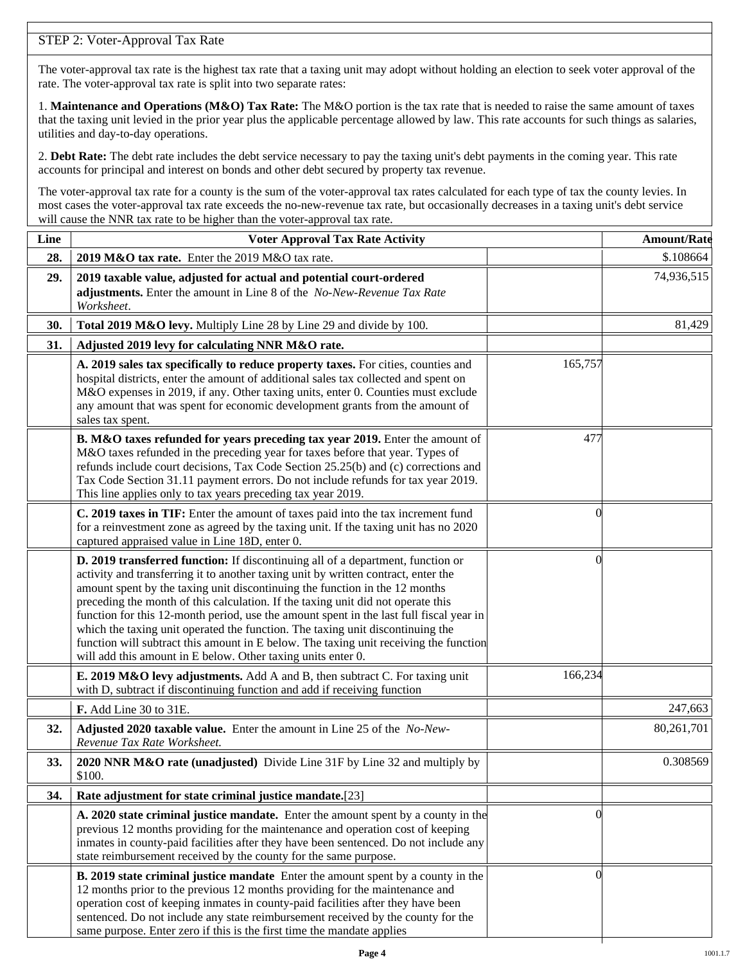## STEP 2: Voter-Approval Tax Rate

The voter-approval tax rate is the highest tax rate that a taxing unit may adopt without holding an election to seek voter approval of the rate. The voter-approval tax rate is split into two separate rates:

1. **Maintenance and Operations (M&O) Tax Rate:** The M&O portion is the tax rate that is needed to raise the same amount of taxes that the taxing unit levied in the prior year plus the applicable percentage allowed by law. This rate accounts for such things as salaries, utilities and day-to-day operations.

2. **Debt Rate:** The debt rate includes the debt service necessary to pay the taxing unit's debt payments in the coming year. This rate accounts for principal and interest on bonds and other debt secured by property tax revenue.

The voter-approval tax rate for a county is the sum of the voter-approval tax rates calculated for each type of tax the county levies. In most cases the voter-approval tax rate exceeds the no-new-revenue tax rate, but occasionally decreases in a taxing unit's debt service will cause the NNR tax rate to be higher than the voter-approval tax rate.

| Line | <b>Voter Approval Tax Rate Activity</b>                                                                                                                                                                                                                                                                                                                                                                                                                                                                                                                                                                                                                                        |                | <b>Amount/Rate</b> |
|------|--------------------------------------------------------------------------------------------------------------------------------------------------------------------------------------------------------------------------------------------------------------------------------------------------------------------------------------------------------------------------------------------------------------------------------------------------------------------------------------------------------------------------------------------------------------------------------------------------------------------------------------------------------------------------------|----------------|--------------------|
| 28.  | 2019 M&O tax rate. Enter the 2019 M&O tax rate.                                                                                                                                                                                                                                                                                                                                                                                                                                                                                                                                                                                                                                |                | \$.108664          |
| 29.  | 2019 taxable value, adjusted for actual and potential court-ordered<br>adjustments. Enter the amount in Line 8 of the No-New-Revenue Tax Rate<br>Worksheet.                                                                                                                                                                                                                                                                                                                                                                                                                                                                                                                    |                | 74,936,515         |
| 30.  | Total 2019 M&O levy. Multiply Line 28 by Line 29 and divide by 100.                                                                                                                                                                                                                                                                                                                                                                                                                                                                                                                                                                                                            |                | 81,429             |
| 31.  | Adjusted 2019 levy for calculating NNR M&O rate.                                                                                                                                                                                                                                                                                                                                                                                                                                                                                                                                                                                                                               |                |                    |
|      | A. 2019 sales tax specifically to reduce property taxes. For cities, counties and<br>hospital districts, enter the amount of additional sales tax collected and spent on<br>M&O expenses in 2019, if any. Other taxing units, enter 0. Counties must exclude<br>any amount that was spent for economic development grants from the amount of<br>sales tax spent.                                                                                                                                                                                                                                                                                                               | 165,757        |                    |
|      | B. M&O taxes refunded for years preceding tax year 2019. Enter the amount of<br>M&O taxes refunded in the preceding year for taxes before that year. Types of<br>refunds include court decisions, Tax Code Section 25.25(b) and (c) corrections and<br>Tax Code Section 31.11 payment errors. Do not include refunds for tax year 2019.<br>This line applies only to tax years preceding tax year 2019.                                                                                                                                                                                                                                                                        | 477            |                    |
|      | C. 2019 taxes in TIF: Enter the amount of taxes paid into the tax increment fund<br>for a reinvestment zone as agreed by the taxing unit. If the taxing unit has no 2020<br>captured appraised value in Line 18D, enter 0.                                                                                                                                                                                                                                                                                                                                                                                                                                                     | 0              |                    |
|      | D. 2019 transferred function: If discontinuing all of a department, function or<br>activity and transferring it to another taxing unit by written contract, enter the<br>amount spent by the taxing unit discontinuing the function in the 12 months<br>preceding the month of this calculation. If the taxing unit did not operate this<br>function for this 12-month period, use the amount spent in the last full fiscal year in<br>which the taxing unit operated the function. The taxing unit discontinuing the<br>function will subtract this amount in E below. The taxing unit receiving the function<br>will add this amount in E below. Other taxing units enter 0. | $\left($       |                    |
|      | E. 2019 M&O levy adjustments. Add A and B, then subtract C. For taxing unit<br>with D, subtract if discontinuing function and add if receiving function                                                                                                                                                                                                                                                                                                                                                                                                                                                                                                                        | 166,234        |                    |
|      | F. Add Line 30 to 31E.                                                                                                                                                                                                                                                                                                                                                                                                                                                                                                                                                                                                                                                         |                | 247,663            |
| 32.  | Adjusted 2020 taxable value. Enter the amount in Line 25 of the No-New-<br>Revenue Tax Rate Worksheet.                                                                                                                                                                                                                                                                                                                                                                                                                                                                                                                                                                         |                | 80,261,701         |
| 33.  | 2020 NNR M&O rate (unadjusted) Divide Line 31F by Line 32 and multiply by<br>\$100.                                                                                                                                                                                                                                                                                                                                                                                                                                                                                                                                                                                            |                | 0.308569           |
| 34.  | Rate adjustment for state criminal justice mandate.[23]                                                                                                                                                                                                                                                                                                                                                                                                                                                                                                                                                                                                                        |                |                    |
|      | A. 2020 state criminal justice mandate. Enter the amount spent by a county in the<br>previous 12 months providing for the maintenance and operation cost of keeping<br>inmates in county-paid facilities after they have been sentenced. Do not include any<br>state reimbursement received by the county for the same purpose.                                                                                                                                                                                                                                                                                                                                                | $\Omega$       |                    |
|      | <b>B. 2019 state criminal justice mandate</b> Enter the amount spent by a county in the<br>12 months prior to the previous 12 months providing for the maintenance and<br>operation cost of keeping inmates in county-paid facilities after they have been<br>sentenced. Do not include any state reimbursement received by the county for the<br>same purpose. Enter zero if this is the first time the mandate applies                                                                                                                                                                                                                                                       | $\overline{0}$ |                    |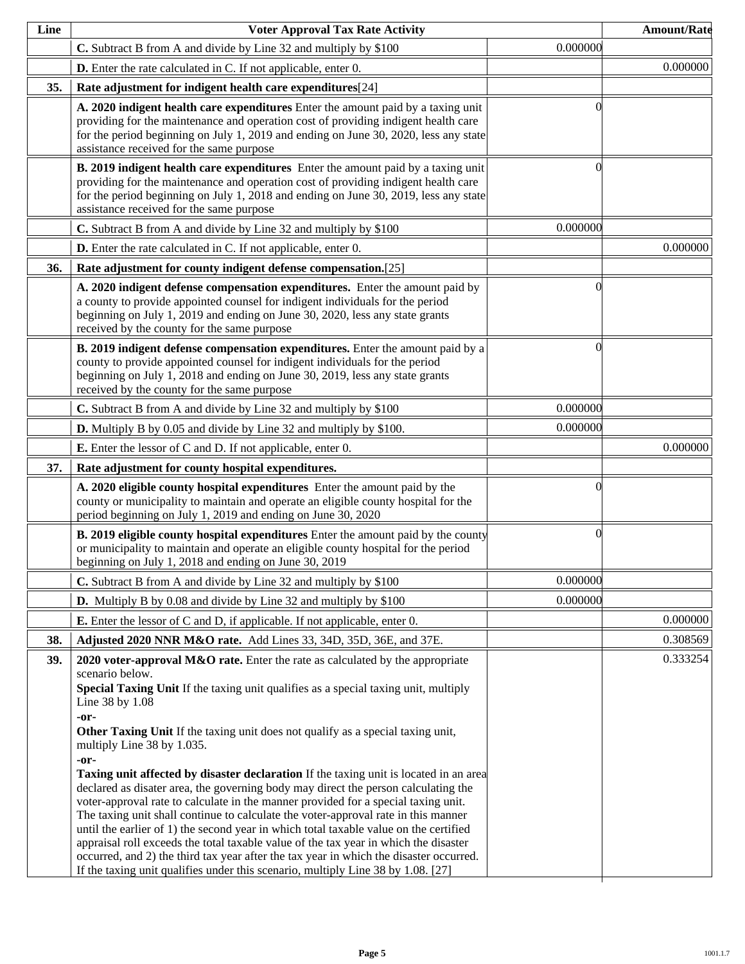| Line | <b>Voter Approval Tax Rate Activity</b>                                                                                                                                                                                                                                                                                                                                                                                                                                                                                                                                                                                                                                                                                                                                                                                                                                                                                                                                                                                                                                      |          | <b>Amount/Rate</b> |
|------|------------------------------------------------------------------------------------------------------------------------------------------------------------------------------------------------------------------------------------------------------------------------------------------------------------------------------------------------------------------------------------------------------------------------------------------------------------------------------------------------------------------------------------------------------------------------------------------------------------------------------------------------------------------------------------------------------------------------------------------------------------------------------------------------------------------------------------------------------------------------------------------------------------------------------------------------------------------------------------------------------------------------------------------------------------------------------|----------|--------------------|
|      | C. Subtract B from A and divide by Line 32 and multiply by \$100                                                                                                                                                                                                                                                                                                                                                                                                                                                                                                                                                                                                                                                                                                                                                                                                                                                                                                                                                                                                             | 0.000000 |                    |
|      | <b>D.</b> Enter the rate calculated in C. If not applicable, enter 0.                                                                                                                                                                                                                                                                                                                                                                                                                                                                                                                                                                                                                                                                                                                                                                                                                                                                                                                                                                                                        |          | 0.000000           |
| 35.  | Rate adjustment for indigent health care expenditures[24]                                                                                                                                                                                                                                                                                                                                                                                                                                                                                                                                                                                                                                                                                                                                                                                                                                                                                                                                                                                                                    |          |                    |
|      | A. 2020 indigent health care expenditures Enter the amount paid by a taxing unit<br>providing for the maintenance and operation cost of providing indigent health care<br>for the period beginning on July 1, 2019 and ending on June 30, 2020, less any state<br>assistance received for the same purpose                                                                                                                                                                                                                                                                                                                                                                                                                                                                                                                                                                                                                                                                                                                                                                   | ſ        |                    |
|      | B. 2019 indigent health care expenditures Enter the amount paid by a taxing unit<br>providing for the maintenance and operation cost of providing indigent health care<br>for the period beginning on July 1, 2018 and ending on June 30, 2019, less any state<br>assistance received for the same purpose                                                                                                                                                                                                                                                                                                                                                                                                                                                                                                                                                                                                                                                                                                                                                                   | 0        |                    |
|      | C. Subtract B from A and divide by Line 32 and multiply by \$100                                                                                                                                                                                                                                                                                                                                                                                                                                                                                                                                                                                                                                                                                                                                                                                                                                                                                                                                                                                                             | 0.000000 |                    |
|      | <b>D.</b> Enter the rate calculated in C. If not applicable, enter 0.                                                                                                                                                                                                                                                                                                                                                                                                                                                                                                                                                                                                                                                                                                                                                                                                                                                                                                                                                                                                        |          | 0.000000           |
| 36.  | Rate adjustment for county indigent defense compensation.[25]                                                                                                                                                                                                                                                                                                                                                                                                                                                                                                                                                                                                                                                                                                                                                                                                                                                                                                                                                                                                                |          |                    |
|      | A. 2020 indigent defense compensation expenditures. Enter the amount paid by<br>a county to provide appointed counsel for indigent individuals for the period<br>beginning on July 1, 2019 and ending on June 30, 2020, less any state grants<br>received by the county for the same purpose                                                                                                                                                                                                                                                                                                                                                                                                                                                                                                                                                                                                                                                                                                                                                                                 | 0        |                    |
|      | B. 2019 indigent defense compensation expenditures. Enter the amount paid by a<br>county to provide appointed counsel for indigent individuals for the period<br>beginning on July 1, 2018 and ending on June 30, 2019, less any state grants<br>received by the county for the same purpose                                                                                                                                                                                                                                                                                                                                                                                                                                                                                                                                                                                                                                                                                                                                                                                 | 0        |                    |
|      | C. Subtract B from A and divide by Line 32 and multiply by \$100                                                                                                                                                                                                                                                                                                                                                                                                                                                                                                                                                                                                                                                                                                                                                                                                                                                                                                                                                                                                             | 0.000000 |                    |
|      | <b>D.</b> Multiply B by 0.05 and divide by Line 32 and multiply by \$100.                                                                                                                                                                                                                                                                                                                                                                                                                                                                                                                                                                                                                                                                                                                                                                                                                                                                                                                                                                                                    | 0.000000 |                    |
|      | <b>E.</b> Enter the lessor of C and D. If not applicable, enter 0.                                                                                                                                                                                                                                                                                                                                                                                                                                                                                                                                                                                                                                                                                                                                                                                                                                                                                                                                                                                                           |          | 0.000000           |
| 37.  | Rate adjustment for county hospital expenditures.                                                                                                                                                                                                                                                                                                                                                                                                                                                                                                                                                                                                                                                                                                                                                                                                                                                                                                                                                                                                                            |          |                    |
|      | A. 2020 eligible county hospital expenditures Enter the amount paid by the<br>county or municipality to maintain and operate an eligible county hospital for the<br>period beginning on July 1, 2019 and ending on June 30, 2020                                                                                                                                                                                                                                                                                                                                                                                                                                                                                                                                                                                                                                                                                                                                                                                                                                             | 0        |                    |
|      | <b>B. 2019 eligible county hospital expenditures</b> Enter the amount paid by the county<br>or municipality to maintain and operate an eligible county hospital for the period<br>beginning on July 1, 2018 and ending on June 30, 2019                                                                                                                                                                                                                                                                                                                                                                                                                                                                                                                                                                                                                                                                                                                                                                                                                                      | $\Omega$ |                    |
|      | C. Subtract B from A and divide by Line 32 and multiply by \$100                                                                                                                                                                                                                                                                                                                                                                                                                                                                                                                                                                                                                                                                                                                                                                                                                                                                                                                                                                                                             | 0.000000 |                    |
|      | <b>D.</b> Multiply B by 0.08 and divide by Line 32 and multiply by \$100                                                                                                                                                                                                                                                                                                                                                                                                                                                                                                                                                                                                                                                                                                                                                                                                                                                                                                                                                                                                     | 0.000000 |                    |
|      | <b>E.</b> Enter the lessor of C and D, if applicable. If not applicable, enter 0.                                                                                                                                                                                                                                                                                                                                                                                                                                                                                                                                                                                                                                                                                                                                                                                                                                                                                                                                                                                            |          | 0.000000           |
| 38.  | Adjusted 2020 NNR M&O rate. Add Lines 33, 34D, 35D, 36E, and 37E.                                                                                                                                                                                                                                                                                                                                                                                                                                                                                                                                                                                                                                                                                                                                                                                                                                                                                                                                                                                                            |          | 0.308569           |
| 39.  | 2020 voter-approval M&O rate. Enter the rate as calculated by the appropriate<br>scenario below.<br>Special Taxing Unit If the taxing unit qualifies as a special taxing unit, multiply<br>Line 38 by 1.08<br>-or-<br>Other Taxing Unit If the taxing unit does not qualify as a special taxing unit,<br>multiply Line 38 by 1.035.<br>-or-<br><b>Taxing unit affected by disaster declaration</b> If the taxing unit is located in an area<br>declared as disater area, the governing body may direct the person calculating the<br>voter-approval rate to calculate in the manner provided for a special taxing unit.<br>The taxing unit shall continue to calculate the voter-approval rate in this manner<br>until the earlier of 1) the second year in which total taxable value on the certified<br>appraisal roll exceeds the total taxable value of the tax year in which the disaster<br>occurred, and 2) the third tax year after the tax year in which the disaster occurred.<br>If the taxing unit qualifies under this scenario, multiply Line 38 by 1.08. [27] |          | 0.333254           |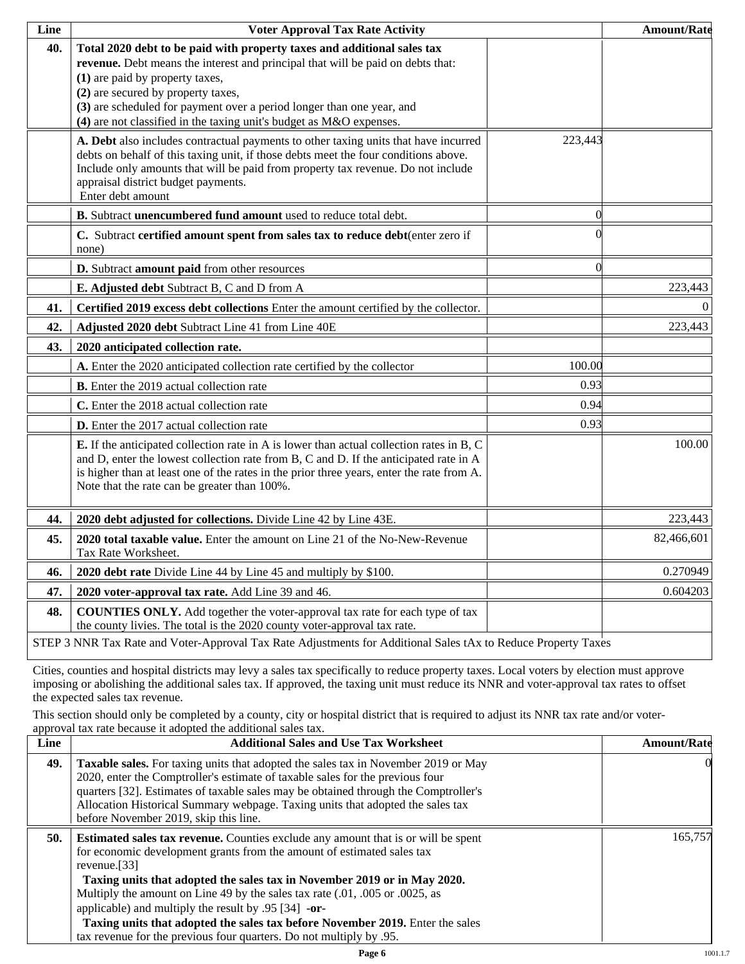| Line | <b>Voter Approval Tax Rate Activity</b>                                                                                                                                                                                                                                                                                                                                               |          | <b>Amount/Rate</b> |
|------|---------------------------------------------------------------------------------------------------------------------------------------------------------------------------------------------------------------------------------------------------------------------------------------------------------------------------------------------------------------------------------------|----------|--------------------|
| 40.  | Total 2020 debt to be paid with property taxes and additional sales tax<br>revenue. Debt means the interest and principal that will be paid on debts that:<br>(1) are paid by property taxes,<br>(2) are secured by property taxes,<br>(3) are scheduled for payment over a period longer than one year, and<br>$(4)$ are not classified in the taxing unit's budget as M&O expenses. |          |                    |
|      | A. Debt also includes contractual payments to other taxing units that have incurred<br>debts on behalf of this taxing unit, if those debts meet the four conditions above.<br>Include only amounts that will be paid from property tax revenue. Do not include<br>appraisal district budget payments.<br>Enter debt amount                                                            | 223,443  |                    |
|      | B. Subtract unencumbered fund amount used to reduce total debt.                                                                                                                                                                                                                                                                                                                       | $\Omega$ |                    |
|      | C. Subtract certified amount spent from sales tax to reduce debt(enter zero if<br>none)                                                                                                                                                                                                                                                                                               |          |                    |
|      | D. Subtract amount paid from other resources                                                                                                                                                                                                                                                                                                                                          | $\Omega$ |                    |
|      | E. Adjusted debt Subtract B, C and D from A                                                                                                                                                                                                                                                                                                                                           |          | 223,443            |
| 41.  | Certified 2019 excess debt collections Enter the amount certified by the collector.                                                                                                                                                                                                                                                                                                   |          | $\Omega$           |
| 42.  | Adjusted 2020 debt Subtract Line 41 from Line 40E                                                                                                                                                                                                                                                                                                                                     |          | 223,443            |
| 43.  | 2020 anticipated collection rate.                                                                                                                                                                                                                                                                                                                                                     |          |                    |
|      | A. Enter the 2020 anticipated collection rate certified by the collector                                                                                                                                                                                                                                                                                                              | 100.00   |                    |
|      | <b>B.</b> Enter the 2019 actual collection rate                                                                                                                                                                                                                                                                                                                                       | 0.93     |                    |
|      | C. Enter the 2018 actual collection rate                                                                                                                                                                                                                                                                                                                                              | 0.94     |                    |
|      | D. Enter the 2017 actual collection rate                                                                                                                                                                                                                                                                                                                                              | 0.93     |                    |
|      | <b>E.</b> If the anticipated collection rate in A is lower than actual collection rates in B, C<br>and D, enter the lowest collection rate from B, C and D. If the anticipated rate in A<br>is higher than at least one of the rates in the prior three years, enter the rate from A.<br>Note that the rate can be greater than 100%.                                                 |          | 100.00             |
| 44.  | 2020 debt adjusted for collections. Divide Line 42 by Line 43E.                                                                                                                                                                                                                                                                                                                       |          | 223,443            |
| 45.  | 2020 total taxable value. Enter the amount on Line 21 of the No-New-Revenue<br>Tax Rate Worksheet.                                                                                                                                                                                                                                                                                    |          | 82,466,601         |
| 46.  | 2020 debt rate Divide Line 44 by Line 45 and multiply by \$100.                                                                                                                                                                                                                                                                                                                       |          | 0.270949           |
| 47.  | 2020 voter-approval tax rate. Add Line 39 and 46.                                                                                                                                                                                                                                                                                                                                     |          | 0.604203           |
| 48.  | <b>COUNTIES ONLY.</b> Add together the voter-approval tax rate for each type of tax<br>the county livies. The total is the 2020 county voter-approval tax rate.                                                                                                                                                                                                                       |          |                    |
|      | STEP 3 NNR Tax Rate and Voter-Approval Tax Rate Adjustments for Additional Sales tAx to Reduce Property Taxes                                                                                                                                                                                                                                                                         |          |                    |

Cities, counties and hospital districts may levy a sales tax specifically to reduce property taxes. Local voters by election must approve imposing or abolishing the additional sales tax. If approved, the taxing unit must reduce its NNR and voter-approval tax rates to offset the expected sales tax revenue.

This section should only be completed by a county, city or hospital district that is required to adjust its NNR tax rate and/or voterapproval tax rate because it adopted the additional sales tax.

| Line | <b>Additional Sales and Use Tax Worksheet</b>                                                                                                                                                                                                                                                                                                                                                                                                                                                | <b>Amount/Rate</b> |
|------|----------------------------------------------------------------------------------------------------------------------------------------------------------------------------------------------------------------------------------------------------------------------------------------------------------------------------------------------------------------------------------------------------------------------------------------------------------------------------------------------|--------------------|
| 49.  | Taxable sales. For taxing units that adopted the sales tax in November 2019 or May<br>2020, enter the Comptroller's estimate of taxable sales for the previous four<br>quarters [32]. Estimates of taxable sales may be obtained through the Comptroller's<br>Allocation Historical Summary webpage. Taxing units that adopted the sales tax<br>before November 2019, skip this line.                                                                                                        | $\Omega$           |
| 50.  | <b>Estimated sales tax revenue.</b> Counties exclude any amount that is or will be spent<br>for economic development grants from the amount of estimated sales tax<br>revenue. $[33]$<br>Taxing units that adopted the sales tax in November 2019 or in May 2020.<br>Multiply the amount on Line 49 by the sales tax rate (.01, .005 or .0025, as<br>applicable) and multiply the result by $.95$ [34] -or-<br>Taxing units that adopted the sales tax before November 2019. Enter the sales | 165,757            |
|      | tax revenue for the previous four quarters. Do not multiply by .95.                                                                                                                                                                                                                                                                                                                                                                                                                          |                    |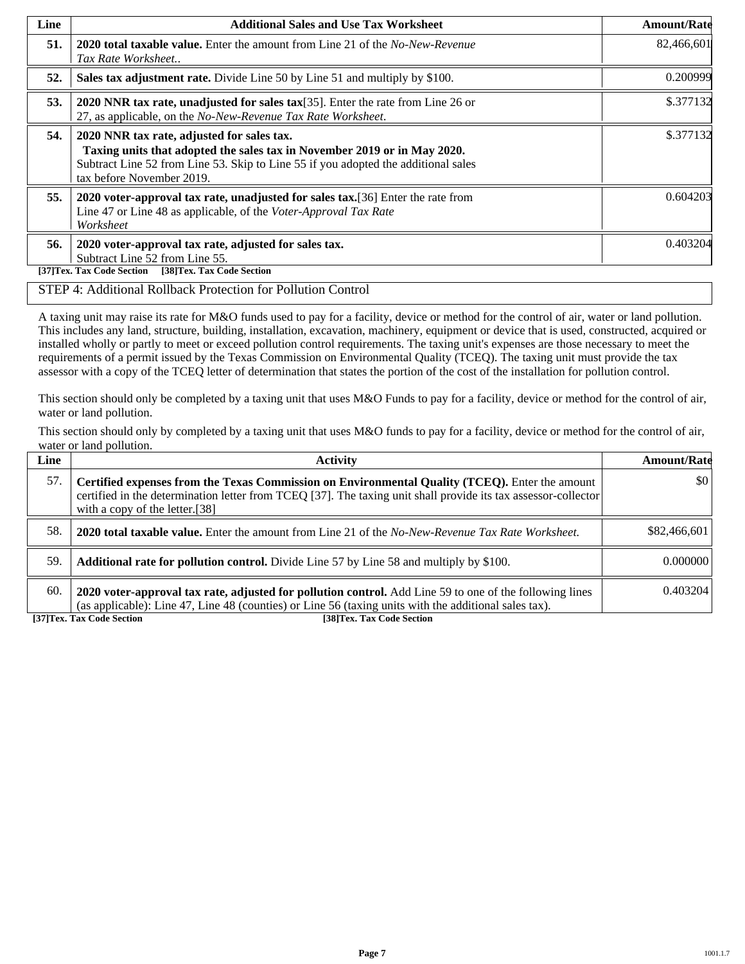| Line | <b>Additional Sales and Use Tax Worksheet</b>                                                                                                                                                                                             | <b>Amount/Rate</b> |
|------|-------------------------------------------------------------------------------------------------------------------------------------------------------------------------------------------------------------------------------------------|--------------------|
| 51.  | 2020 total taxable value. Enter the amount from Line 21 of the No-New-Revenue<br>Tax Rate Worksheet                                                                                                                                       | 82,466,601         |
| 52.  | Sales tax adjustment rate. Divide Line 50 by Line 51 and multiply by \$100.                                                                                                                                                               | 0.200999           |
| 53.  | 2020 NNR tax rate, unadjusted for sales tax $[35]$ . Enter the rate from Line 26 or<br>27, as applicable, on the No-New-Revenue Tax Rate Worksheet.                                                                                       | \$.377132          |
| 54.  | 2020 NNR tax rate, adjusted for sales tax.<br>Taxing units that adopted the sales tax in November 2019 or in May 2020.<br>Subtract Line 52 from Line 53. Skip to Line 55 if you adopted the additional sales<br>tax before November 2019. | \$.377132          |
| 55.  | 2020 voter-approval tax rate, unadjusted for sales tax. [36] Enter the rate from<br>Line 47 or Line 48 as applicable, of the Voter-Approval Tax Rate<br>Worksheet                                                                         | 0.604203           |
| 56.  | 2020 voter-approval tax rate, adjusted for sales tax.<br>Subtract Line 52 from Line 55.<br>[38]Tex. Tax Code Section<br>[37]Tex. Tax Code Section                                                                                         | 0.403204           |

#### STEP 4: Additional Rollback Protection for Pollution Control

A taxing unit may raise its rate for M&O funds used to pay for a facility, device or method for the control of air, water or land pollution. This includes any land, structure, building, installation, excavation, machinery, equipment or device that is used, constructed, acquired or installed wholly or partly to meet or exceed pollution control requirements. The taxing unit's expenses are those necessary to meet the requirements of a permit issued by the Texas Commission on Environmental Quality (TCEQ). The taxing unit must provide the tax assessor with a copy of the TCEQ letter of determination that states the portion of the cost of the installation for pollution control.

This section should only be completed by a taxing unit that uses M&O Funds to pay for a facility, device or method for the control of air, water or land pollution.

This section should only by completed by a taxing unit that uses M&O funds to pay for a facility, device or method for the control of air, water or land pollution.

| Line | <b>Activity</b>                                                                                                                                                                                                                                    | <b>Amount/Rate</b>      |
|------|----------------------------------------------------------------------------------------------------------------------------------------------------------------------------------------------------------------------------------------------------|-------------------------|
| 57.  | Certified expenses from the Texas Commission on Environmental Quality (TCEQ). Enter the amount<br>certified in the determination letter from TCEQ [37]. The taxing unit shall provide its tax assessor-collector<br>with a copy of the letter.[38] | $\vert \$\text{O}\vert$ |
| 58.  | <b>2020 total taxable value.</b> Enter the amount from Line 21 of the No-New-Revenue Tax Rate Worksheet.                                                                                                                                           | \$82,466,601            |
| 59.  | <b>Additional rate for pollution control.</b> Divide Line 57 by Line 58 and multiply by \$100.                                                                                                                                                     | 0.000000                |
| 60.  | 2020 voter-approval tax rate, adjusted for pollution control. Add Line 59 to one of the following lines<br>(as applicable): Line 47, Line 48 (counties) or Line 56 (taxing units with the additional sales tax).                                   | 0.403204                |

**[37]Tex. Tax Code Section [38]Tex. Tax Code Section**